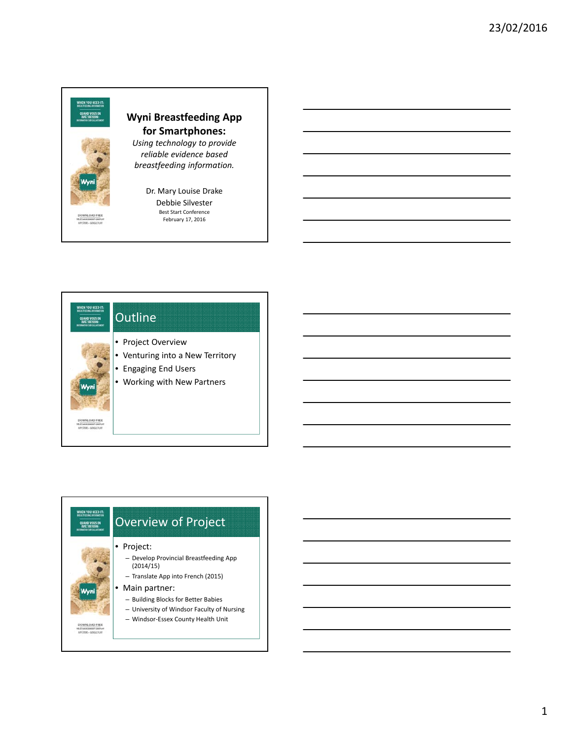

## **Wyni Breastfeeding App for Smartphones:**

*Using technology to provide reliable evidence based breastfeeding information.*

> Dr. Mary Louise Drake Debbie Silvester Best Start Conference February 17, 2016



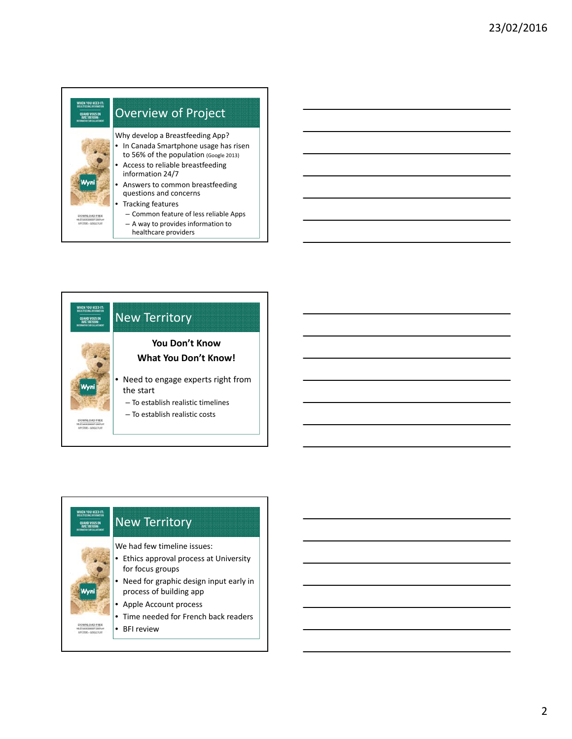



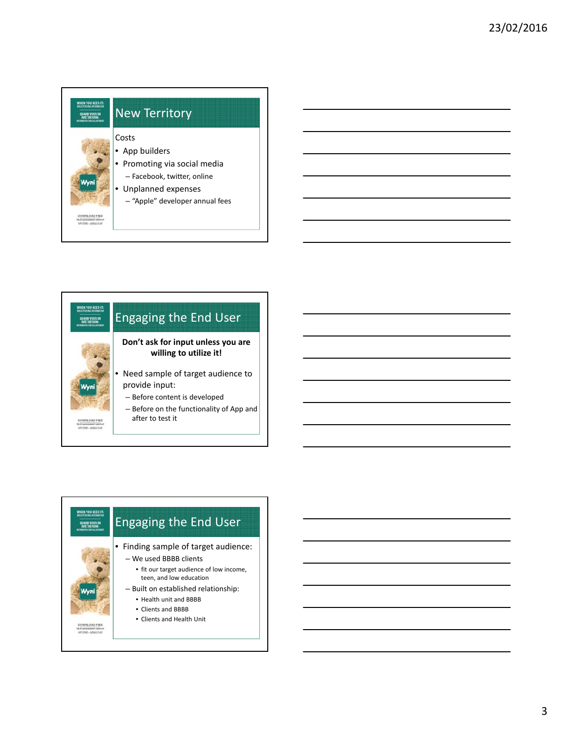





3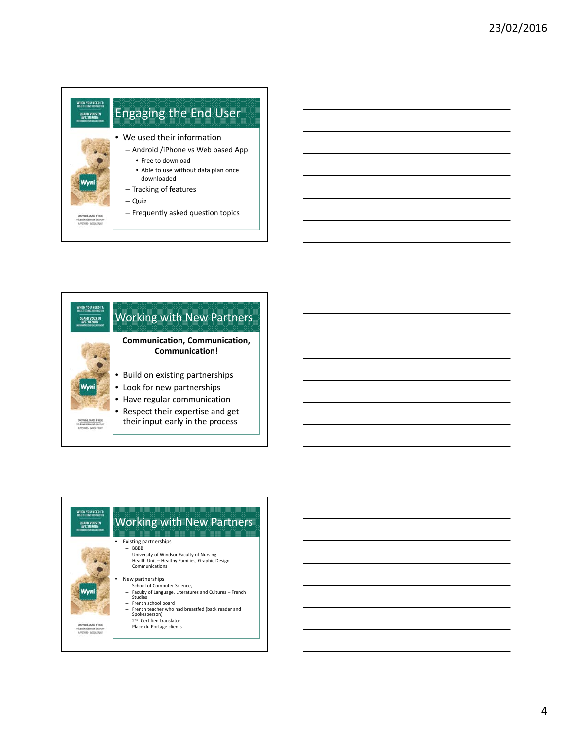





4